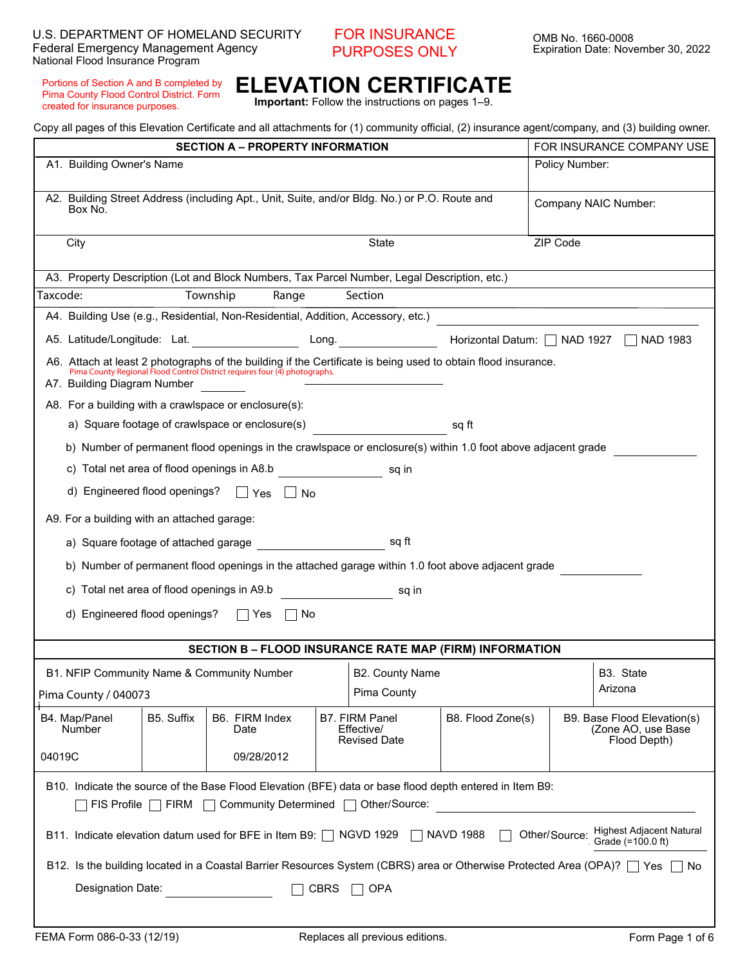#### FOR INSURANCE PURPOSES ONLY

Portions of Section A and B completed by Pima County Flood Control District. Form created for insurance purposes.

## **ELEVATION CERTIFICATE**

**Important:** Follow the instructions on pages 1–9.

Copy all pages of this Elevation Certificate and all attachments for (1) community official, (2) insurance agent/company, and (3) building owner.

| <b>SECTION A - PROPERTY INFORMATION</b><br>A1. Building Owner's Name                                                                                                                   |                                                                                                                                  |            |                                                                                                                                                                                             |             | FOR INSURANCE COMPANY USE<br>Policy Number: |                   |                      |                                                                                                                      |
|----------------------------------------------------------------------------------------------------------------------------------------------------------------------------------------|----------------------------------------------------------------------------------------------------------------------------------|------------|---------------------------------------------------------------------------------------------------------------------------------------------------------------------------------------------|-------------|---------------------------------------------|-------------------|----------------------|----------------------------------------------------------------------------------------------------------------------|
|                                                                                                                                                                                        |                                                                                                                                  |            |                                                                                                                                                                                             |             |                                             |                   |                      |                                                                                                                      |
|                                                                                                                                                                                        | A2. Building Street Address (including Apt., Unit, Suite, and/or Bldg. No.) or P.O. Route and<br>Box No.                         |            |                                                                                                                                                                                             |             |                                             |                   | Company NAIC Number: |                                                                                                                      |
|                                                                                                                                                                                        | ZIP Code<br><b>State</b><br>City<br>$\vert \mathbf{v} \vert$                                                                     |            |                                                                                                                                                                                             |             |                                             |                   |                      |                                                                                                                      |
|                                                                                                                                                                                        |                                                                                                                                  |            | A3. Property Description (Lot and Block Numbers, Tax Parcel Number, Legal Description, etc.)                                                                                                |             |                                             |                   |                      |                                                                                                                      |
| Taxcode:                                                                                                                                                                               |                                                                                                                                  |            | Range<br>Township                                                                                                                                                                           |             | Section                                     |                   |                      | <u> 1989 - Johann Stein, marwolaethau a bhann an t-Amhair an t-Amhair an t-Amhair an t-Amhair an t-Amhair an t-A</u> |
|                                                                                                                                                                                        |                                                                                                                                  |            | A4. Building Use (e.g., Residential, Non-Residential, Addition, Accessory, etc.)                                                                                                            |             |                                             |                   |                      | $\boxed{\mathbf{r}}$                                                                                                 |
|                                                                                                                                                                                        |                                                                                                                                  |            | A5. Latitude/Longitude: Lat.                                                                                                                                                                |             | Long. $\qquad \qquad \qquad \qquad$         |                   |                      | Horizontal Datum:   NAD 1927   NAD 1983                                                                              |
|                                                                                                                                                                                        | A7. Building Diagram Number                                                                                                      |            | A6. Attach at least 2 photographs of the building if the Certificate is being used to obtain flood insurance.<br>Pima County Regional Flood Control District requires four (4) photographs. |             |                                             |                   |                      |                                                                                                                      |
|                                                                                                                                                                                        |                                                                                                                                  |            | A8. For a building with a crawlspace or enclosure(s):                                                                                                                                       |             |                                             |                   |                      |                                                                                                                      |
|                                                                                                                                                                                        |                                                                                                                                  |            | a) Square footage of crawlspace or enclosure(s)                                                                                                                                             |             |                                             | sq ft             |                      |                                                                                                                      |
|                                                                                                                                                                                        |                                                                                                                                  |            | b) Number of permanent flood openings in the crawlspace or enclosure(s) within 1.0 foot above adjacent grade                                                                                |             |                                             |                   |                      |                                                                                                                      |
|                                                                                                                                                                                        |                                                                                                                                  |            | c) Total net area of flood openings in A8.b                                                                                                                                                 |             | sq in                                       |                   |                      |                                                                                                                      |
|                                                                                                                                                                                        | d) Engineered flood openings?                                                                                                    |            | $\Box$ Yes $\Box$ No                                                                                                                                                                        |             |                                             |                   |                      |                                                                                                                      |
|                                                                                                                                                                                        | A9. For a building with an attached garage:                                                                                      |            |                                                                                                                                                                                             |             |                                             |                   |                      |                                                                                                                      |
|                                                                                                                                                                                        |                                                                                                                                  |            | a) Square footage of attached garage manufacturers and ft                                                                                                                                   |             |                                             |                   |                      |                                                                                                                      |
|                                                                                                                                                                                        | b) Number of permanent flood openings in the attached garage within 1.0 foot above adjacent grade                                |            |                                                                                                                                                                                             |             |                                             |                   |                      |                                                                                                                      |
|                                                                                                                                                                                        | c) Total net area of flood openings in A9.b<br>sq in                                                                             |            |                                                                                                                                                                                             |             |                                             |                   |                      |                                                                                                                      |
|                                                                                                                                                                                        | d) Engineered flood openings?<br>No<br>∣ ∣Yes                                                                                    |            |                                                                                                                                                                                             |             |                                             |                   |                      |                                                                                                                      |
|                                                                                                                                                                                        |                                                                                                                                  |            | <b>SECTION B - FLOOD INSURANCE RATE MAP (FIRM) INFORMATION</b>                                                                                                                              |             |                                             |                   |                      |                                                                                                                      |
|                                                                                                                                                                                        |                                                                                                                                  |            | B1. NFIP Community Name & Community Number                                                                                                                                                  |             | B2. County Name                             |                   |                      | B3. State                                                                                                            |
|                                                                                                                                                                                        | Pima County / 040073                                                                                                             |            |                                                                                                                                                                                             |             | Pima County                                 |                   |                      | Arizona                                                                                                              |
|                                                                                                                                                                                        | B4. Map/Panel                                                                                                                    | B5. Suffix | B6. FIRM Index                                                                                                                                                                              |             | <b>B7. FIRM Panel</b>                       | B8. Flood Zone(s) |                      | B9. Base Flood Elevation(s)                                                                                          |
|                                                                                                                                                                                        | <b>Number</b>                                                                                                                    |            | Date                                                                                                                                                                                        |             | Effective/<br><b>Revised Date</b>           |                   |                      | (Zone AO, use Base<br>Flood Depth)                                                                                   |
| 04019C                                                                                                                                                                                 |                                                                                                                                  |            | 09/28/2012                                                                                                                                                                                  |             |                                             |                   |                      | $\blacktriangledown$                                                                                                 |
| B10. Indicate the source of the Base Flood Elevation (BFE) data or base flood depth entered in Item B9:<br>FIS Profile $\Box$ FIRM $\Box$ Community Determined $\Box$<br>Other/Source: |                                                                                                                                  |            |                                                                                                                                                                                             |             |                                             |                   |                      |                                                                                                                      |
| <b>Highest Adjacent Natural</b><br>Other/Source:<br>B11. Indicate elevation datum used for BFE in Item B9: NGVD 1929<br>$\Box$ NAVD 1988<br>Grade (=100.0 ft)                          |                                                                                                                                  |            |                                                                                                                                                                                             |             |                                             |                   |                      |                                                                                                                      |
|                                                                                                                                                                                        | B12. Is the building located in a Coastal Barrier Resources System (CBRS) area or Otherwise Protected Area (OPA)? □ Yes  <br>∣No |            |                                                                                                                                                                                             |             |                                             |                   |                      |                                                                                                                      |
|                                                                                                                                                                                        | Designation Date:                                                                                                                |            |                                                                                                                                                                                             | <b>CBRS</b> | <b>OPA</b>                                  |                   |                      |                                                                                                                      |
|                                                                                                                                                                                        |                                                                                                                                  |            |                                                                                                                                                                                             |             |                                             |                   |                      |                                                                                                                      |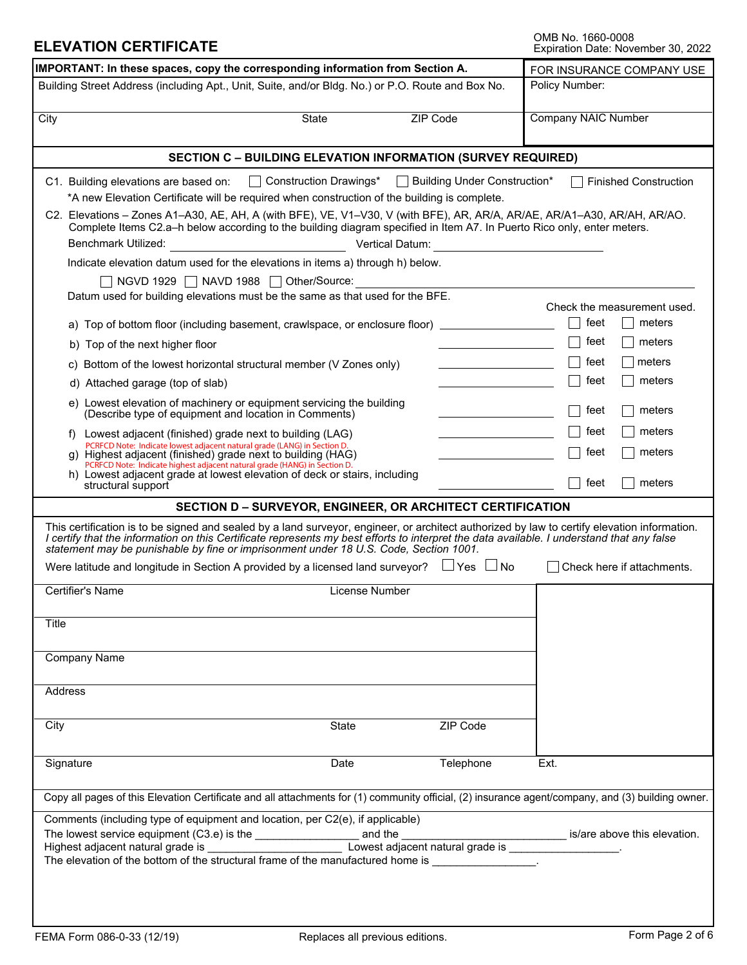# OMB No. 1660-0008<br>Expiration Date: November 30, 2022

| IMPORTANT: In these spaces, copy the corresponding information from Section A.                                                                                                                                                                                                                                                                                                                                                                                                                                                                                                                                                                                                                                                                                                                                                                                                                                                                                                                                                                                                                                                                                                                                                                                                                                                                                                                                                                                      | FOR INSURANCE COMPANY USE                                                                                                                                                                 |  |  |  |  |  |
|---------------------------------------------------------------------------------------------------------------------------------------------------------------------------------------------------------------------------------------------------------------------------------------------------------------------------------------------------------------------------------------------------------------------------------------------------------------------------------------------------------------------------------------------------------------------------------------------------------------------------------------------------------------------------------------------------------------------------------------------------------------------------------------------------------------------------------------------------------------------------------------------------------------------------------------------------------------------------------------------------------------------------------------------------------------------------------------------------------------------------------------------------------------------------------------------------------------------------------------------------------------------------------------------------------------------------------------------------------------------------------------------------------------------------------------------------------------------|-------------------------------------------------------------------------------------------------------------------------------------------------------------------------------------------|--|--|--|--|--|
| Building Street Address (including Apt., Unit, Suite, and/or Bldg. No.) or P.O. Route and Box No.                                                                                                                                                                                                                                                                                                                                                                                                                                                                                                                                                                                                                                                                                                                                                                                                                                                                                                                                                                                                                                                                                                                                                                                                                                                                                                                                                                   | Policy Number:                                                                                                                                                                            |  |  |  |  |  |
| ZIP Code<br>City<br><b>State</b><br>$\overline{\phantom{a}}$                                                                                                                                                                                                                                                                                                                                                                                                                                                                                                                                                                                                                                                                                                                                                                                                                                                                                                                                                                                                                                                                                                                                                                                                                                                                                                                                                                                                        | <b>Company NAIC Number</b>                                                                                                                                                                |  |  |  |  |  |
| <b>SECTION C - BUILDING ELEVATION INFORMATION (SURVEY REQUIRED)</b>                                                                                                                                                                                                                                                                                                                                                                                                                                                                                                                                                                                                                                                                                                                                                                                                                                                                                                                                                                                                                                                                                                                                                                                                                                                                                                                                                                                                 |                                                                                                                                                                                           |  |  |  |  |  |
| Construction Drawings*<br>□ Building Under Construction*<br>C1. Building elevations are based on:<br>$\mathbf{1}$<br>*A new Elevation Certificate will be required when construction of the building is complete.<br>C2. Elevations - Zones A1-A30, AE, AH, A (with BFE), VE, V1-V30, V (with BFE), AR, AR/A, AR/AE, AR/A1-A30, AR/AH, AR/AO.<br>Complete Items C2.a-h below according to the building diagram specified in Item A7. In Puerto Rico only, enter meters.<br>Benchmark Utilized:<br>Vertical Datum:<br>Indicate elevation datum used for the elevations in items a) through h) below.<br>NGVD 1929   NAVD 1988   Other/Source:<br>Datum used for building elevations must be the same as that used for the BFE.<br>a) Top of bottom floor (including basement, crawlspace, or enclosure floor)<br>b) Top of the next higher floor<br>c) Bottom of the lowest horizontal structural member (V Zones only)<br>d) Attached garage (top of slab)<br><u> 1989 - Johann Barbara, martxa a</u><br>e) Lowest elevation of machinery or equipment servicing the building<br>(Describe type of equipment and location in Comments)<br>f) Lowest adjacent (finished) grade next to building (LAG)<br><u> 1989 - Johann Stein, mars a</u><br>PCRFCD Note: Indicate lowest adjacent natural grade (LANG) in Section D.<br>g) Highest adjacent (finished) grade next to building (HAG)<br>PCRFCD Note: Indicate highest adjacent natural grade (HANG) in Section D. | <b>Finished Construction</b><br>Check the measurement used.<br>feet<br>meters<br>feet<br>meters<br>feet<br>meters<br>feet<br>meters<br>feet<br>meters<br>meters<br>teet<br>meters<br>feet |  |  |  |  |  |
| h) Lowest adjacent grade at lowest elevation of deck or stairs, including<br>structural support                                                                                                                                                                                                                                                                                                                                                                                                                                                                                                                                                                                                                                                                                                                                                                                                                                                                                                                                                                                                                                                                                                                                                                                                                                                                                                                                                                     | feet<br>meters                                                                                                                                                                            |  |  |  |  |  |
| <b>SECTION D-SURVEYOR, ENGINEER, OR ARCHITECT CERTIFICATION</b>                                                                                                                                                                                                                                                                                                                                                                                                                                                                                                                                                                                                                                                                                                                                                                                                                                                                                                                                                                                                                                                                                                                                                                                                                                                                                                                                                                                                     |                                                                                                                                                                                           |  |  |  |  |  |
| This certification is to be signed and sealed by a land surveyor, engineer, or architect authorized by law to certify elevation information.<br>I certify that the information on this Certificate represents my best efforts to interpret the data available. I understand that any false<br>statement may be punishable by fine or imprisonment under 18 U.S. Code, Section 1001.<br>Were latitude and longitude in Section A provided by a licensed land surveyor? $\Box$ Yes $\Box$ No<br>Certifier's Name<br>License Number                                                                                                                                                                                                                                                                                                                                                                                                                                                                                                                                                                                                                                                                                                                                                                                                                                                                                                                                    | $\Box$ Check here if attachments.                                                                                                                                                         |  |  |  |  |  |
|                                                                                                                                                                                                                                                                                                                                                                                                                                                                                                                                                                                                                                                                                                                                                                                                                                                                                                                                                                                                                                                                                                                                                                                                                                                                                                                                                                                                                                                                     |                                                                                                                                                                                           |  |  |  |  |  |
| Title                                                                                                                                                                                                                                                                                                                                                                                                                                                                                                                                                                                                                                                                                                                                                                                                                                                                                                                                                                                                                                                                                                                                                                                                                                                                                                                                                                                                                                                               |                                                                                                                                                                                           |  |  |  |  |  |
| <b>Company Name</b>                                                                                                                                                                                                                                                                                                                                                                                                                                                                                                                                                                                                                                                                                                                                                                                                                                                                                                                                                                                                                                                                                                                                                                                                                                                                                                                                                                                                                                                 |                                                                                                                                                                                           |  |  |  |  |  |
| Address                                                                                                                                                                                                                                                                                                                                                                                                                                                                                                                                                                                                                                                                                                                                                                                                                                                                                                                                                                                                                                                                                                                                                                                                                                                                                                                                                                                                                                                             |                                                                                                                                                                                           |  |  |  |  |  |
| ZIP Code<br>City<br>State<br>$\vert \mathbf{v} \vert$                                                                                                                                                                                                                                                                                                                                                                                                                                                                                                                                                                                                                                                                                                                                                                                                                                                                                                                                                                                                                                                                                                                                                                                                                                                                                                                                                                                                               |                                                                                                                                                                                           |  |  |  |  |  |
| Signature<br>Telephone<br>Date                                                                                                                                                                                                                                                                                                                                                                                                                                                                                                                                                                                                                                                                                                                                                                                                                                                                                                                                                                                                                                                                                                                                                                                                                                                                                                                                                                                                                                      | Ext.                                                                                                                                                                                      |  |  |  |  |  |
| Copy all pages of this Elevation Certificate and all attachments for (1) community official, (2) insurance agent/company, and (3) building owner.                                                                                                                                                                                                                                                                                                                                                                                                                                                                                                                                                                                                                                                                                                                                                                                                                                                                                                                                                                                                                                                                                                                                                                                                                                                                                                                   |                                                                                                                                                                                           |  |  |  |  |  |
| Comments (including type of equipment and location, per C2(e), if applicable)<br>Lowest adjacent natural grade is _________________<br>The elevation of the bottom of the structural frame of the manufactured home is _______________.                                                                                                                                                                                                                                                                                                                                                                                                                                                                                                                                                                                                                                                                                                                                                                                                                                                                                                                                                                                                                                                                                                                                                                                                                             | is/are above this elevation.                                                                                                                                                              |  |  |  |  |  |
|                                                                                                                                                                                                                                                                                                                                                                                                                                                                                                                                                                                                                                                                                                                                                                                                                                                                                                                                                                                                                                                                                                                                                                                                                                                                                                                                                                                                                                                                     |                                                                                                                                                                                           |  |  |  |  |  |

**ELEVATION CERTIFICATE**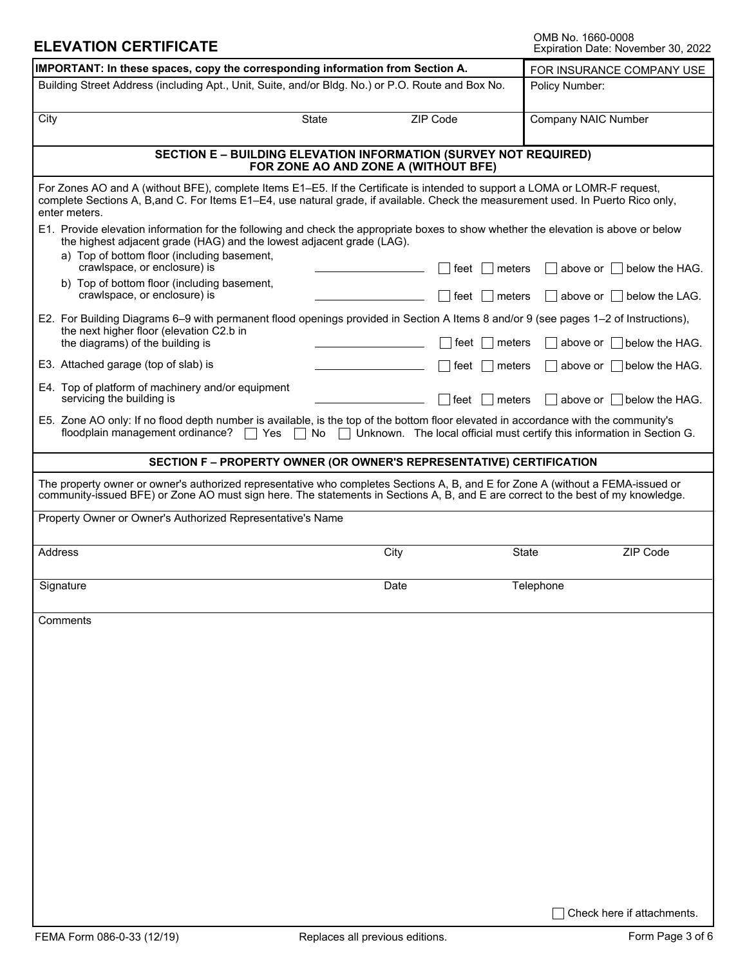### **ELEVATION CERTIFICATE**

| IMPORTANT: In these spaces, copy the corresponding information from Section A.                                                                                                                                                                                                    |                                   |                 |           | FOR INSURANCE COMPANY USE                                               |  |  |
|-----------------------------------------------------------------------------------------------------------------------------------------------------------------------------------------------------------------------------------------------------------------------------------|-----------------------------------|-----------------|-----------|-------------------------------------------------------------------------|--|--|
| Building Street Address (including Apt., Unit, Suite, and/or Bldg. No.) or P.O. Route and Box No.                                                                                                                                                                                 |                                   |                 |           | Policy Number:                                                          |  |  |
| City                                                                                                                                                                                                                                                                              | State<br>$\overline{\phantom{0}}$ | <b>ZIP Code</b> |           | <b>Company NAIC Number</b>                                              |  |  |
| <b>SECTION E - BUILDING ELEVATION INFORMATION (SURVEY NOT REQUIRED)</b><br>FOR ZONE AO AND ZONE A (WITHOUT BFE)                                                                                                                                                                   |                                   |                 |           |                                                                         |  |  |
| For Zones AO and A (without BFE), complete Items E1–E5. If the Certificate is intended to support a LOMA or LOMR-F request,<br>complete Sections A, B, and C. For Items E1–E4, use natural grade, if available. Check the measurement used. In Puerto Rico only,<br>enter meters. |                                   |                 |           |                                                                         |  |  |
| E1. Provide elevation information for the following and check the appropriate boxes to show whether the elevation is above or below<br>the highest adjacent grade (HAG) and the lowest adjacent grade (LAG).<br>a) Top of bottom floor (including basement,                       |                                   |                 |           |                                                                         |  |  |
| crawlspace, or enclosure) is<br>b) Top of bottom floor (including basement,                                                                                                                                                                                                       |                                   | feet            | meters    | below the HAG.<br>above or                                              |  |  |
| crawlspace, or enclosure) is                                                                                                                                                                                                                                                      |                                   | ∣ feet          | meters    | $\vert$ above or $\vert$ below the LAG.                                 |  |  |
| E2. For Building Diagrams 6–9 with permanent flood openings provided in Section A Items 8 and/or 9 (see pages 1–2 of Instructions),<br>the next higher floor (elevation C2.b in<br>the diagrams) of the building is                                                               |                                   | feet            | meters    | above or $\Box$ below the HAG.                                          |  |  |
| E3. Attached garage (top of slab) is                                                                                                                                                                                                                                              |                                   | feet            | meters    | above or $\parallel$ below the HAG.                                     |  |  |
| E4. Top of platform of machinery and/or equipment<br>servicing the building is                                                                                                                                                                                                    |                                   | ∣feet           | meters    | above or $\parallel$ below the HAG.                                     |  |  |
| E5. Zone AO only: If no flood depth number is available, is the top of the bottom floor elevated in accordance with the community's<br>floodplain management ordinance?<br>$\Box$ Yes                                                                                             | No<br>$\mathbf{I}$                |                 |           | Unknown. The local official must certify this information in Section G. |  |  |
| <b>SECTION F - PROPERTY OWNER (OR OWNER'S REPRESENTATIVE) CERTIFICATION</b>                                                                                                                                                                                                       |                                   |                 |           |                                                                         |  |  |
| The property owner or owner's authorized representative who completes Sections A, B, and E for Zone A (without a FEMA-issued or<br>community-issued BFE) or Zone AO must sign here. The statements in Sections A, B, and E are correct to the best of my knowledge.               |                                   |                 |           |                                                                         |  |  |
| Property Owner or Owner's Authorized Representative's Name                                                                                                                                                                                                                        |                                   |                 |           |                                                                         |  |  |
| <b>Address</b>                                                                                                                                                                                                                                                                    | City                              |                 | State     | ZIP Code<br>$\blacktriangleleft$                                        |  |  |
| Signature                                                                                                                                                                                                                                                                         | Date                              |                 | Telephone |                                                                         |  |  |
| Comments                                                                                                                                                                                                                                                                          |                                   |                 |           |                                                                         |  |  |
|                                                                                                                                                                                                                                                                                   |                                   |                 |           |                                                                         |  |  |
|                                                                                                                                                                                                                                                                                   |                                   |                 |           |                                                                         |  |  |
|                                                                                                                                                                                                                                                                                   |                                   |                 |           |                                                                         |  |  |
|                                                                                                                                                                                                                                                                                   |                                   |                 |           |                                                                         |  |  |
|                                                                                                                                                                                                                                                                                   |                                   |                 |           |                                                                         |  |  |
|                                                                                                                                                                                                                                                                                   |                                   |                 |           |                                                                         |  |  |
|                                                                                                                                                                                                                                                                                   |                                   |                 |           |                                                                         |  |  |
|                                                                                                                                                                                                                                                                                   |                                   |                 |           |                                                                         |  |  |
|                                                                                                                                                                                                                                                                                   |                                   |                 |           |                                                                         |  |  |
|                                                                                                                                                                                                                                                                                   |                                   |                 |           |                                                                         |  |  |
|                                                                                                                                                                                                                                                                                   |                                   |                 |           |                                                                         |  |  |
|                                                                                                                                                                                                                                                                                   |                                   |                 |           | Check here if attachments.                                              |  |  |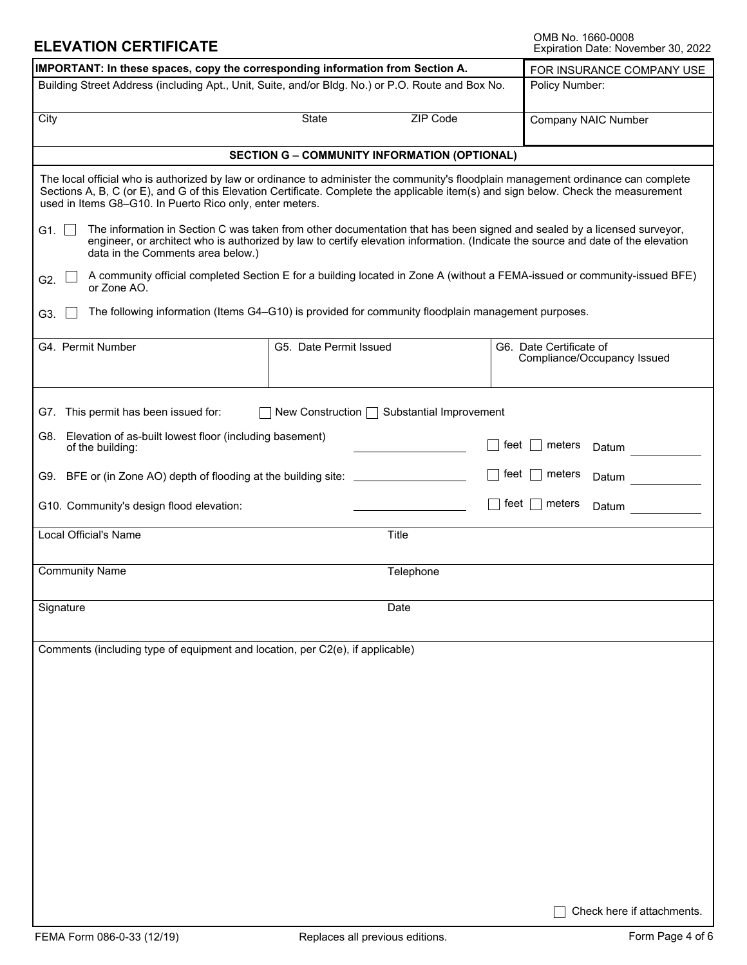### **ELEVATION CERTIFICATE**

OMB No. 1660-0008<br>Expiration Date: November 30, 2022

| IMPORTANT: In these spaces, copy the corresponding information from Section A.                                                                                                                                                                                                                                                         | FOR INSURANCE COMPANY USE                                                                                                 |                |                                                        |  |  |  |
|----------------------------------------------------------------------------------------------------------------------------------------------------------------------------------------------------------------------------------------------------------------------------------------------------------------------------------------|---------------------------------------------------------------------------------------------------------------------------|----------------|--------------------------------------------------------|--|--|--|
| Building Street Address (including Apt., Unit, Suite, and/or Bldg. No.) or P.O. Route and Box No.                                                                                                                                                                                                                                      |                                                                                                                           | Policy Number: |                                                        |  |  |  |
| City                                                                                                                                                                                                                                                                                                                                   | <b>ZIP Code</b><br>State<br>$\blacktriangledown$                                                                          |                | <b>Company NAIC Number</b>                             |  |  |  |
|                                                                                                                                                                                                                                                                                                                                        | <b>SECTION G - COMMUNITY INFORMATION (OPTIONAL)</b>                                                                       |                |                                                        |  |  |  |
| The local official who is authorized by law or ordinance to administer the community's floodplain management ordinance can complete<br>Sections A, B, C (or E), and G of this Elevation Certificate. Complete the applicable item(s) and sign below. Check the measurement<br>used in Items G8-G10. In Puerto Rico only, enter meters. |                                                                                                                           |                |                                                        |  |  |  |
| The information in Section C was taken from other documentation that has been signed and sealed by a licensed surveyor,<br>G1. $\Box$<br>engineer, or architect who is authorized by law to certify elevation information. (Indicate the source and date of the elevation<br>data in the Comments area below.)                         |                                                                                                                           |                |                                                        |  |  |  |
| G2.<br>or Zone AO.                                                                                                                                                                                                                                                                                                                     | A community official completed Section E for a building located in Zone A (without a FEMA-issued or community-issued BFE) |                |                                                        |  |  |  |
| G3.                                                                                                                                                                                                                                                                                                                                    | The following information (Items G4-G10) is provided for community floodplain management purposes.                        |                |                                                        |  |  |  |
| G4. Permit Number                                                                                                                                                                                                                                                                                                                      | G5. Date Permit Issued                                                                                                    |                | G6. Date Certificate of<br>Compliance/Occupancy Issued |  |  |  |
| G7. This permit has been issued for:                                                                                                                                                                                                                                                                                                   | New Construction $\Box$ Substantial Improvement                                                                           |                |                                                        |  |  |  |
| G8. Elevation of as-built lowest floor (including basement)<br>of the building:                                                                                                                                                                                                                                                        |                                                                                                                           | feet           | meters<br>$\mathbf{I}$<br>Datum                        |  |  |  |
| G9. BFE or (in Zone AO) depth of flooding at the building site: ________________                                                                                                                                                                                                                                                       |                                                                                                                           | feet           | meters<br>Datum                                        |  |  |  |
| G10. Community's design flood elevation:                                                                                                                                                                                                                                                                                               |                                                                                                                           | feet           | meters<br>$\blacksquare$<br>Datum                      |  |  |  |
| <b>Local Official's Name</b>                                                                                                                                                                                                                                                                                                           | <b>Title</b>                                                                                                              |                |                                                        |  |  |  |
| <b>Community Name</b>                                                                                                                                                                                                                                                                                                                  | Telephone                                                                                                                 |                |                                                        |  |  |  |
| Signature                                                                                                                                                                                                                                                                                                                              | Date                                                                                                                      |                |                                                        |  |  |  |
| Comments (including type of equipment and location, per C2(e), if applicable)                                                                                                                                                                                                                                                          |                                                                                                                           |                |                                                        |  |  |  |
|                                                                                                                                                                                                                                                                                                                                        |                                                                                                                           |                |                                                        |  |  |  |
|                                                                                                                                                                                                                                                                                                                                        |                                                                                                                           |                |                                                        |  |  |  |
|                                                                                                                                                                                                                                                                                                                                        |                                                                                                                           |                |                                                        |  |  |  |
|                                                                                                                                                                                                                                                                                                                                        |                                                                                                                           |                |                                                        |  |  |  |
|                                                                                                                                                                                                                                                                                                                                        |                                                                                                                           |                |                                                        |  |  |  |
|                                                                                                                                                                                                                                                                                                                                        |                                                                                                                           |                |                                                        |  |  |  |
|                                                                                                                                                                                                                                                                                                                                        |                                                                                                                           |                |                                                        |  |  |  |
|                                                                                                                                                                                                                                                                                                                                        |                                                                                                                           |                | Check here if attachments.                             |  |  |  |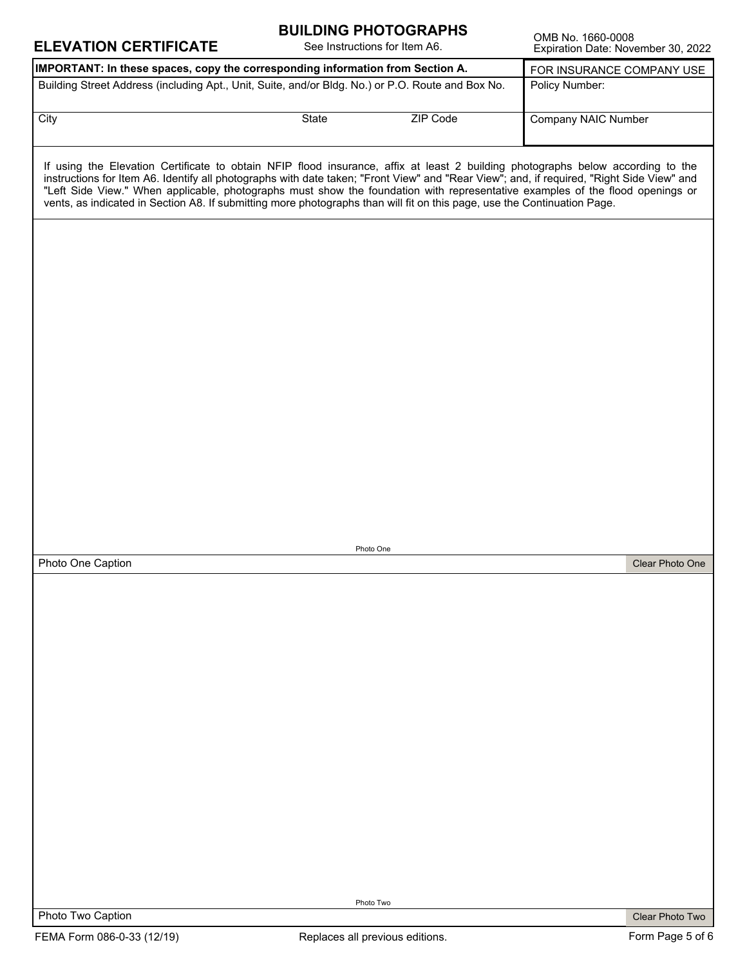| <b>ELEVATION CERTIFICATE</b>                                                                                                                                                                                                                                                                                                                                                                                                                                                                                                              |       | <b>BUILDING PHOTOGRAPHS</b><br>See Instructions for Item A6. | OMB No. 1660-0008<br>Expiration Date: November 30, 2022 |                 |
|-------------------------------------------------------------------------------------------------------------------------------------------------------------------------------------------------------------------------------------------------------------------------------------------------------------------------------------------------------------------------------------------------------------------------------------------------------------------------------------------------------------------------------------------|-------|--------------------------------------------------------------|---------------------------------------------------------|-----------------|
| IMPORTANT: In these spaces, copy the corresponding information from Section A.                                                                                                                                                                                                                                                                                                                                                                                                                                                            |       |                                                              | FOR INSURANCE COMPANY USE                               |                 |
| Building Street Address (including Apt., Unit, Suite, and/or Bldg. No.) or P.O. Route and Box No.                                                                                                                                                                                                                                                                                                                                                                                                                                         |       |                                                              | Policy Number:                                          |                 |
| City                                                                                                                                                                                                                                                                                                                                                                                                                                                                                                                                      | State | <b>ZIP Code</b><br>$\vert \vert$                             | <b>Company NAIC Number</b>                              |                 |
| If using the Elevation Certificate to obtain NFIP flood insurance, affix at least 2 building photographs below according to the<br>instructions for Item A6. Identify all photographs with date taken; "Front View" and "Rear View"; and, if required, "Right Side View" and<br>"Left Side View." When applicable, photographs must show the foundation with representative examples of the flood openings or<br>vents, as indicated in Section A8. If submitting more photographs than will fit on this page, use the Continuation Page. |       |                                                              |                                                         |                 |
|                                                                                                                                                                                                                                                                                                                                                                                                                                                                                                                                           |       |                                                              |                                                         |                 |
|                                                                                                                                                                                                                                                                                                                                                                                                                                                                                                                                           |       |                                                              |                                                         |                 |
|                                                                                                                                                                                                                                                                                                                                                                                                                                                                                                                                           |       |                                                              |                                                         |                 |
|                                                                                                                                                                                                                                                                                                                                                                                                                                                                                                                                           |       |                                                              |                                                         |                 |
|                                                                                                                                                                                                                                                                                                                                                                                                                                                                                                                                           |       |                                                              |                                                         |                 |
|                                                                                                                                                                                                                                                                                                                                                                                                                                                                                                                                           |       |                                                              |                                                         |                 |
|                                                                                                                                                                                                                                                                                                                                                                                                                                                                                                                                           |       |                                                              |                                                         |                 |
|                                                                                                                                                                                                                                                                                                                                                                                                                                                                                                                                           |       | Photo One                                                    |                                                         |                 |
| Photo One Caption                                                                                                                                                                                                                                                                                                                                                                                                                                                                                                                         |       |                                                              |                                                         | Clear Photo One |
|                                                                                                                                                                                                                                                                                                                                                                                                                                                                                                                                           |       |                                                              |                                                         |                 |
|                                                                                                                                                                                                                                                                                                                                                                                                                                                                                                                                           |       |                                                              |                                                         |                 |
|                                                                                                                                                                                                                                                                                                                                                                                                                                                                                                                                           |       |                                                              |                                                         |                 |
|                                                                                                                                                                                                                                                                                                                                                                                                                                                                                                                                           |       |                                                              |                                                         |                 |
|                                                                                                                                                                                                                                                                                                                                                                                                                                                                                                                                           |       |                                                              |                                                         |                 |
|                                                                                                                                                                                                                                                                                                                                                                                                                                                                                                                                           |       |                                                              |                                                         |                 |
|                                                                                                                                                                                                                                                                                                                                                                                                                                                                                                                                           |       |                                                              |                                                         |                 |
|                                                                                                                                                                                                                                                                                                                                                                                                                                                                                                                                           |       | Photo Two                                                    |                                                         |                 |
| Photo Two Caption                                                                                                                                                                                                                                                                                                                                                                                                                                                                                                                         |       |                                                              |                                                         | Clear Photo Two |